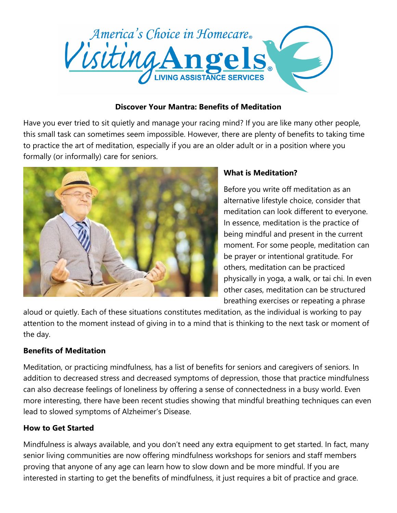

## **Discover Your Mantra: Benefits of Meditation**

Have you ever tried to sit quietly and manage your racing mind? If you are like many other people, this small task can sometimes seem impossible. However, there are plenty of benefits to taking time to practice the art of meditation, especially if you are an older adult or in a position where you formally (or informally) care for seniors.



## **What is Meditation?**

Before you write off meditation as an alternative lifestyle choice, consider that meditation can look different to everyone. In essence, meditation is the practice of being mindful and present in the current moment. For some people, meditation can be prayer or intentional gratitude. For others, meditation can be practiced physically in yoga, a walk, or tai chi. In even other cases, meditation can be structured breathing exercises or repeating a phrase

aloud or quietly. Each of these situations constitutes meditation, as the individual is working to pay attention to the moment instead of giving in to a mind that is thinking to the next task or moment of the day.

## **Benefits of Meditation**

Meditation, or practicing mindfulness, has a list of benefits for seniors and caregivers of seniors. In addition to decreased stress and decreased symptoms of depression, those that practice mindfulness can also decrease feelings of loneliness by offering a sense of connectedness in a busy world. Even more interesting, there have been recent studies showing that mindful breathing techniques can even lead to slowed symptoms of Alzheimer's Disease.

## **How to Get Started**

Mindfulness is always available, and you don't need any extra equipment to get started. In fact, many senior living communities are now offering mindfulness workshops for seniors and staff members proving that anyone of any age can learn how to slow down and be more mindful. If you are interested in starting to get the benefits of mindfulness, it just requires a bit of practice and grace.